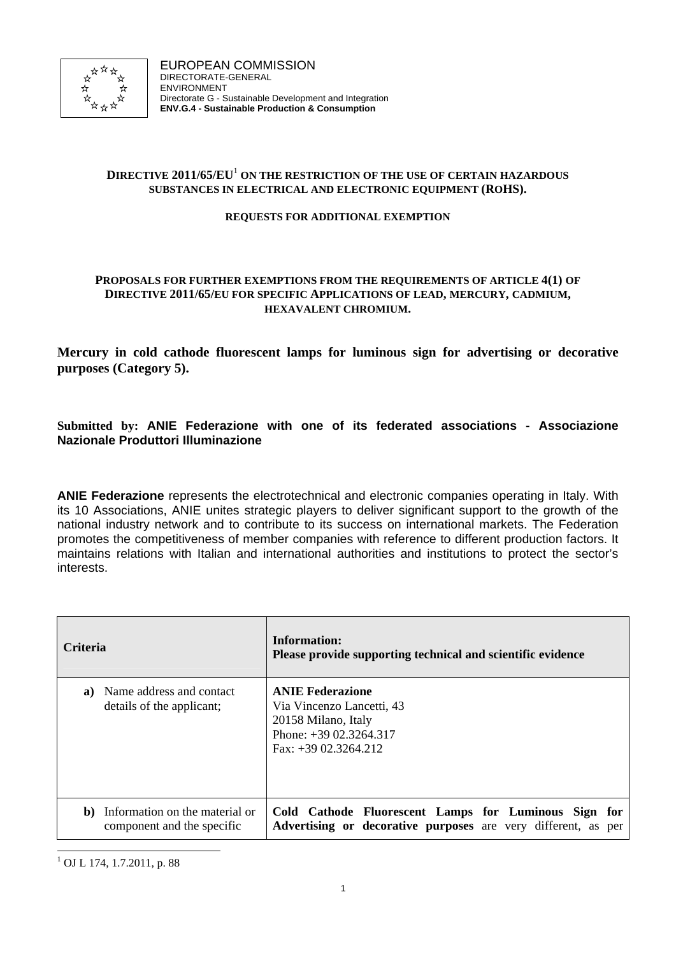

# **DIRECTIVE 2011/65/EU**<sup>1</sup> **ON THE RESTRICTION OF THE USE OF CERTAIN HAZARDOUS SUBSTANCES IN ELECTRICAL AND ELECTRONIC EQUIPMENT (ROHS).**

## **REQUESTS FOR ADDITIONAL EXEMPTION**

## **PROPOSALS FOR FURTHER EXEMPTIONS FROM THE REQUIREMENTS OF ARTICLE 4(1) OF DIRECTIVE 2011/65/EU FOR SPECIFIC APPLICATIONS OF LEAD, MERCURY, CADMIUM, HEXAVALENT CHROMIUM.**

**Mercury in cold cathode fluorescent lamps for luminous sign for advertising or decorative purposes (Category 5).** 

# **Submitted by: ANIE Federazione with one of its federated associations - Associazione Nazionale Produttori Illuminazione**

**ANIE Federazione** represents the electrotechnical and electronic companies operating in Italy. With its 10 Associations, ANIE unites strategic players to deliver significant support to the growth of the national industry network and to contribute to its success on international markets. The Federation promotes the competitiveness of member companies with reference to different production factors. It maintains relations with Italian and international authorities and institutions to protect the sector's interests.

| <b>Criteria</b> |                                                              | Information:<br>Please provide supporting technical and scientific evidence                                                            |  |
|-----------------|--------------------------------------------------------------|----------------------------------------------------------------------------------------------------------------------------------------|--|
| a)              | Name address and contact<br>details of the applicant;        | <b>ANIE Federazione</b><br>Via Vincenzo Lancetti, 43<br>20158 Milano, Italy<br>Phone: $+3902.3264.317$<br>$\text{Fax}: +3902.3264.212$ |  |
| b)              | Information on the material or<br>component and the specific | Cold Cathode Fluorescent Lamps for Luminous Sign for<br>Advertising or decorative purposes are very different, as per                  |  |

l 1 OJ L 174, 1.7.2011, p. 88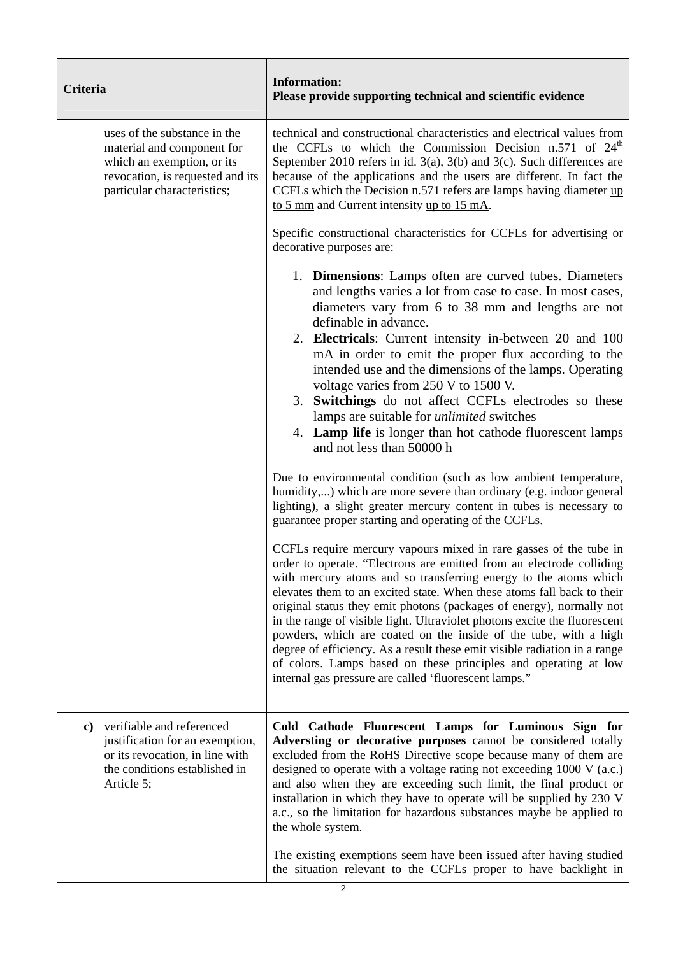| Criteria                                                                                                                                                    | <b>Information:</b><br>Please provide supporting technical and scientific evidence                                                                                                                                                                                                                                                                                                                                                                                                                                                                                                                                                                                                                                                                                                                                                                                                                                                                                                                                                                                |  |  |  |
|-------------------------------------------------------------------------------------------------------------------------------------------------------------|-------------------------------------------------------------------------------------------------------------------------------------------------------------------------------------------------------------------------------------------------------------------------------------------------------------------------------------------------------------------------------------------------------------------------------------------------------------------------------------------------------------------------------------------------------------------------------------------------------------------------------------------------------------------------------------------------------------------------------------------------------------------------------------------------------------------------------------------------------------------------------------------------------------------------------------------------------------------------------------------------------------------------------------------------------------------|--|--|--|
| uses of the substance in the<br>material and component for<br>which an exemption, or its<br>revocation, is requested and its<br>particular characteristics; | technical and constructional characteristics and electrical values from<br>the CCFLs to which the Commission Decision n.571 of 24 <sup>th</sup><br>September 2010 refers in id. $3(a)$ , $3(b)$ and $3(c)$ . Such differences are<br>because of the applications and the users are different. In fact the<br>CCFLs which the Decision n.571 refers are lamps having diameter up<br>to 5 mm and Current intensity up to 15 mA.                                                                                                                                                                                                                                                                                                                                                                                                                                                                                                                                                                                                                                     |  |  |  |
|                                                                                                                                                             | Specific constructional characteristics for CCFLs for advertising or<br>decorative purposes are:                                                                                                                                                                                                                                                                                                                                                                                                                                                                                                                                                                                                                                                                                                                                                                                                                                                                                                                                                                  |  |  |  |
|                                                                                                                                                             | 1. <b>Dimensions</b> : Lamps often are curved tubes. Diameters<br>and lengths varies a lot from case to case. In most cases,<br>diameters vary from 6 to 38 mm and lengths are not<br>definable in advance.<br>2. Electricals: Current intensity in-between 20 and 100<br>mA in order to emit the proper flux according to the<br>intended use and the dimensions of the lamps. Operating<br>voltage varies from 250 V to 1500 V.<br>3. Switchings do not affect CCFLs electrodes so these<br>lamps are suitable for <i>unlimited</i> switches<br>4. Lamp life is longer than hot cathode fluorescent lamps<br>and not less than 50000 h<br>Due to environmental condition (such as low ambient temperature,<br>humidity,) which are more severe than ordinary (e.g. indoor general<br>lighting), a slight greater mercury content in tubes is necessary to<br>guarantee proper starting and operating of the CCFLs.<br>CCFLs require mercury vapours mixed in rare gasses of the tube in<br>order to operate. "Electrons are emitted from an electrode colliding |  |  |  |
|                                                                                                                                                             | with mercury atoms and so transferring energy to the atoms which<br>elevates them to an excited state. When these atoms fall back to their<br>original status they emit photons (packages of energy), normally not<br>in the range of visible light. Ultraviolet photons excite the fluorescent<br>powders, which are coated on the inside of the tube, with a high<br>degree of efficiency. As a result these emit visible radiation in a range<br>of colors. Lamps based on these principles and operating at low<br>internal gas pressure are called 'fluorescent lamps."                                                                                                                                                                                                                                                                                                                                                                                                                                                                                      |  |  |  |
| verifiable and referenced<br>c)<br>justification for an exemption,<br>or its revocation, in line with<br>the conditions established in<br>Article 5;        | Cold Cathode Fluorescent Lamps for Luminous Sign for<br>Adversting or decorative purposes cannot be considered totally<br>excluded from the RoHS Directive scope because many of them are<br>designed to operate with a voltage rating not exceeding $1000 \text{ V}$ (a.c.)<br>and also when they are exceeding such limit, the final product or<br>installation in which they have to operate will be supplied by 230 V<br>a.c., so the limitation for hazardous substances maybe be applied to<br>the whole system.                                                                                                                                                                                                                                                                                                                                                                                                                                                                                                                                            |  |  |  |
|                                                                                                                                                             | The existing exemptions seem have been issued after having studied<br>the situation relevant to the CCFLs proper to have backlight in<br>2                                                                                                                                                                                                                                                                                                                                                                                                                                                                                                                                                                                                                                                                                                                                                                                                                                                                                                                        |  |  |  |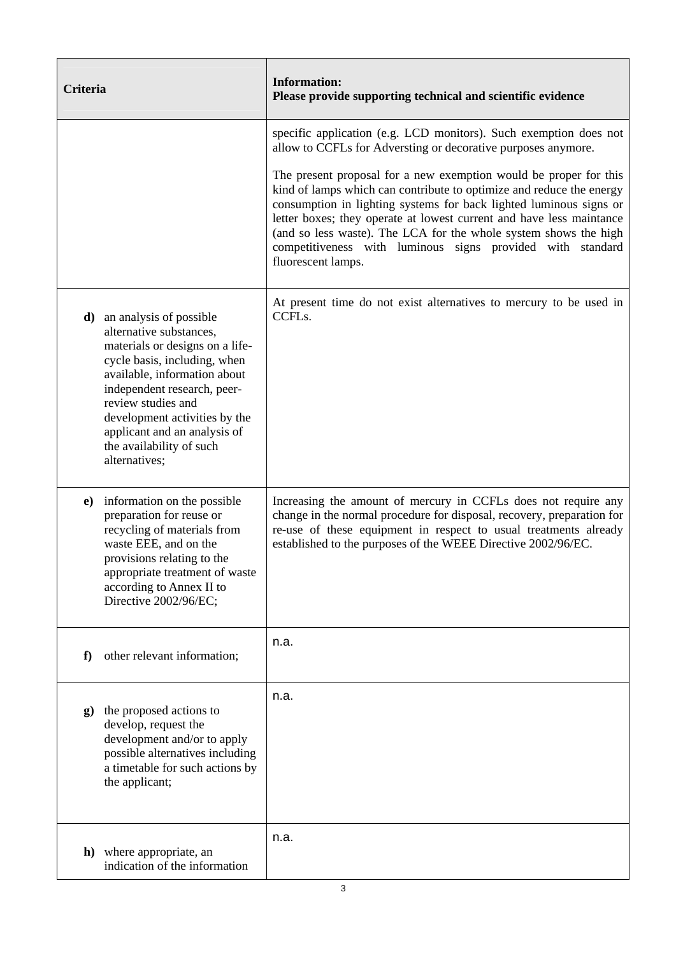| <b>Criteria</b>                                                                                                                                                                                                                                                                                                                | <b>Information:</b><br>Please provide supporting technical and scientific evidence                                                                                                                                                                                                                                                                                                                                                              |  |
|--------------------------------------------------------------------------------------------------------------------------------------------------------------------------------------------------------------------------------------------------------------------------------------------------------------------------------|-------------------------------------------------------------------------------------------------------------------------------------------------------------------------------------------------------------------------------------------------------------------------------------------------------------------------------------------------------------------------------------------------------------------------------------------------|--|
|                                                                                                                                                                                                                                                                                                                                | specific application (e.g. LCD monitors). Such exemption does not<br>allow to CCFLs for Adversting or decorative purposes anymore.                                                                                                                                                                                                                                                                                                              |  |
|                                                                                                                                                                                                                                                                                                                                | The present proposal for a new exemption would be proper for this<br>kind of lamps which can contribute to optimize and reduce the energy<br>consumption in lighting systems for back lighted luminous signs or<br>letter boxes; they operate at lowest current and have less maintance<br>(and so less waste). The LCA for the whole system shows the high<br>competitiveness with luminous signs provided with standard<br>fluorescent lamps. |  |
| an analysis of possible<br>d)<br>alternative substances,<br>materials or designs on a life-<br>cycle basis, including, when<br>available, information about<br>independent research, peer-<br>review studies and<br>development activities by the<br>applicant and an analysis of<br>the availability of such<br>alternatives; | At present time do not exist alternatives to mercury to be used in<br>CCFL <sub>s</sub> .                                                                                                                                                                                                                                                                                                                                                       |  |
| information on the possible<br>$\bf e)$<br>preparation for reuse or<br>recycling of materials from<br>waste EEE, and on the<br>provisions relating to the<br>appropriate treatment of waste<br>according to Annex II to<br>Directive 2002/96/EC;                                                                               | Increasing the amount of mercury in CCFLs does not require any<br>change in the normal procedure for disposal, recovery, preparation for<br>re-use of these equipment in respect to usual treatments already<br>established to the purposes of the WEEE Directive 2002/96/EC.                                                                                                                                                                   |  |
| other relevant information;<br>f                                                                                                                                                                                                                                                                                               | n.a.                                                                                                                                                                                                                                                                                                                                                                                                                                            |  |
| the proposed actions to<br>g)<br>develop, request the<br>development and/or to apply<br>possible alternatives including<br>a timetable for such actions by<br>the applicant;                                                                                                                                                   | n.a.                                                                                                                                                                                                                                                                                                                                                                                                                                            |  |
| h) where appropriate, an<br>indication of the information                                                                                                                                                                                                                                                                      | n.a.                                                                                                                                                                                                                                                                                                                                                                                                                                            |  |